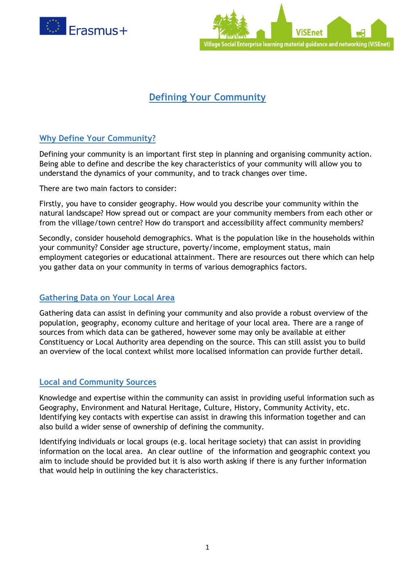



# **Defining Your Community**

# **Why Define Your Community?**

Defining your community is an important first step in planning and organising community action. Being able to define and describe the key characteristics of your community will allow you to understand the dynamics of your community, and to track changes over time.

There are two main factors to consider:

Firstly, you have to consider geography. How would you describe your community within the natural landscape? How spread out or compact are your community members from each other or from the village/town centre? How do transport and accessibility affect community members?

Secondly, consider household demographics. What is the population like in the households within your community? Consider age structure, poverty/income, employment status, main employment categories or educational attainment. There are resources out there which can help you gather data on your community in terms of various demographics factors.

# **Gathering Data on Your Local Area**

Gathering data can assist in defining your community and also provide a robust overview of the population, geography, economy culture and heritage of your local area. There are a range of sources from which data can be gathered, however some may only be available at either Constituency or Local Authority area depending on the source. This can still assist you to build an overview of the local context whilst more localised information can provide further detail.

# **Local and Community Sources**

Knowledge and expertise within the community can assist in providing useful information such as Geography, Environment and Natural Heritage, Culture, History, Community Activity, etc. Identifying key contacts with expertise can assist in drawing this information together and can also build a wider sense of ownership of defining the community.

Identifying individuals or local groups (e.g. local heritage society) that can assist in providing information on the local area. An clear outline of the information and geographic context you aim to include should be provided but it is also worth asking if there is any further information that would help in outlining the key characteristics.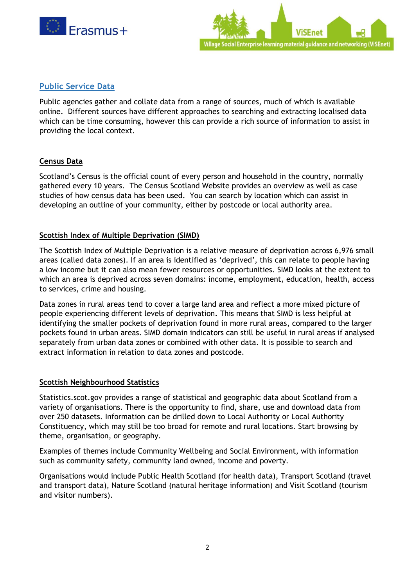



# **Public Service Data**

Public agencies gather and collate data from a range of sources, much of which is available online. Different sources have different approaches to searching and extracting localised data which can be time consuming, however this can provide a rich source of information to assist in providing the local context.

# **Census Data**

Scotland's Census is the official count of every person and household in the country, normally gathered every 10 years. The Census Scotland Website provides an overview as well as case studies of how census data has been used. You can search by location which can assist in developing an outline of your community, either by postcode or local authority area.

#### **Scottish Index of Multiple Deprivation (SIMD)**

The Scottish Index of Multiple Deprivation is a relative measure of deprivation across 6,976 small areas (called data zones). If an area is identified as 'deprived', this can relate to people having a low income but it can also mean fewer resources or opportunities. SIMD looks at the extent to which an area is deprived across seven domains: income, employment, education, health, access to services, crime and housing.

Data zones in rural areas tend to cover a large land area and reflect a more mixed picture of people experiencing different levels of deprivation. This means that SIMD is less helpful at identifying the smaller pockets of deprivation found in more rural areas, compared to the larger pockets found in urban areas. SIMD domain indicators can still be useful in rural areas if analysed separately from urban data zones or combined with other data. It is possible to search and extract information in relation to data zones and postcode.

#### **Scottish Neighbourhood Statistics**

Statistics.scot.gov provides a range of statistical and geographic data about Scotland from a variety of organisations. There is the opportunity to find, share, use and download data from over 250 datasets. Information can be drilled down to Local Authority or Local Authority Constituency, which may still be too broad for remote and rural locations. Start browsing by theme, organisation, or geography.

Examples of themes include Community Wellbeing and Social Environment, with information such as community safety, community land owned, income and poverty.

Organisations would include Public Health Scotland (for health data), Transport Scotland (travel and transport data), Nature Scotland (natural heritage information) and Visit Scotland (tourism and visitor numbers).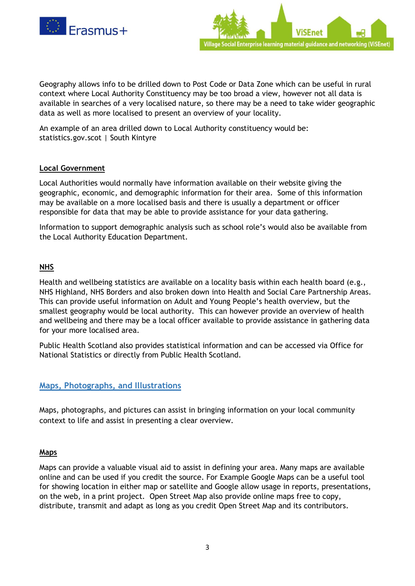



Geography allows info to be drilled down to Post Code or Data Zone which can be useful in rural context where Local Authority Constituency may be too broad a view, however not all data is available in searches of a very localised nature, so there may be a need to take wider geographic data as well as more localised to present an overview of your locality.

An example of an area drilled down to Local Authority constituency would be: statistics.gov.scot | South Kintyre

#### **Local Government**

Local Authorities would normally have information available on their website giving the geographic, economic, and demographic information for their area. Some of this information may be available on a more localised basis and there is usually a department or officer responsible for data that may be able to provide assistance for your data gathering.

Information to support demographic analysis such as school role's would also be available from the Local Authority Education Department.

#### **NHS**

Health and wellbeing statistics are available on a locality basis within each health board (e.g., NHS Highland, NHS Borders and also broken down into Health and Social Care Partnership Areas. This can provide useful information on Adult and Young People's health overview, but the smallest geography would be local authority. This can however provide an overview of health and wellbeing and there may be a local officer available to provide assistance in gathering data for your more localised area.

Public Health Scotland also provides statistical information and can be accessed via Office for National Statistics or directly from Public Health Scotland.

# **Maps, Photographs, and Illustrations**

Maps, photographs, and pictures can assist in bringing information on your local community context to life and assist in presenting a clear overview.

#### **Maps**

Maps can provide a valuable visual aid to assist in defining your area. Many maps are available online and can be used if you credit the source. For Example Google Maps can be a useful tool for showing location in either map or satellite and Google allow usage in reports, presentations, on the web, in a print project. Open Street Map also provide online maps free to copy, distribute, transmit and adapt as long as you credit Open Street Map and its contributors.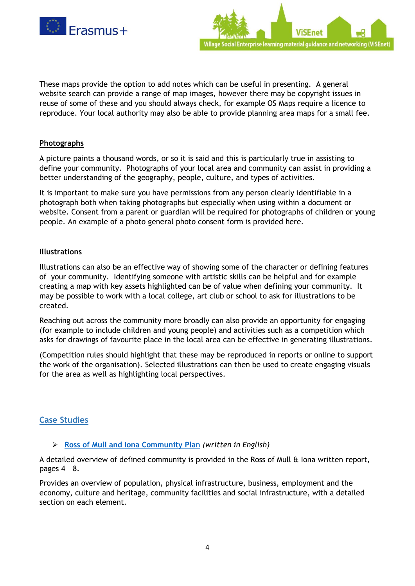



These maps provide the option to add notes which can be useful in presenting. A general website search can provide a range of map images, however there may be copyright issues in reuse of some of these and you should always check, for example OS Maps require a licence to reproduce. Your local authority may also be able to provide planning area maps for a small fee.

#### **Photographs**

A picture paints a thousand words, or so it is said and this is particularly true in assisting to define your community. Photographs of your local area and community can assist in providing a better understanding of the geography, people, culture, and types of activities.

It is important to make sure you have permissions from any person clearly identifiable in a photograph both when taking photographs but especially when using within a document or website. Consent from a parent or guardian will be required for photographs of children or young people. An example of a photo general photo consent form is provided here.

#### **Illustrations**

Illustrations can also be an effective way of showing some of the character or defining features of your community. Identifying someone with artistic skills can be helpful and for example creating a map with key assets highlighted can be of value when defining your community. It may be possible to work with a local college, art club or school to ask for illustrations to be created.

Reaching out across the community more broadly can also provide an opportunity for engaging (for example to include children and young people) and activities such as a competition which asks for drawings of favourite place in the local area can be effective in generating illustrations.

(Competition rules should highlight that these may be reproduced in reports or online to support the work of the organisation). Selected illustrations can then be used to create engaging visuals for the area as well as highlighting local perspectives.

# **Case Studies**

#### ➢ **[Ross of Mull and Iona Community Plan](http://www.mict.co.uk/wp-content/uploads/2013/07/Community-Plan-Final-Draft-lo-res-version1.pdf)** *(written in English)*

A detailed overview of defined community is provided in the Ross of Mull & Iona written report, pages 4 – 8.

Provides an overview of population, physical infrastructure, business, employment and the economy, culture and heritage, community facilities and social infrastructure, with a detailed section on each element.